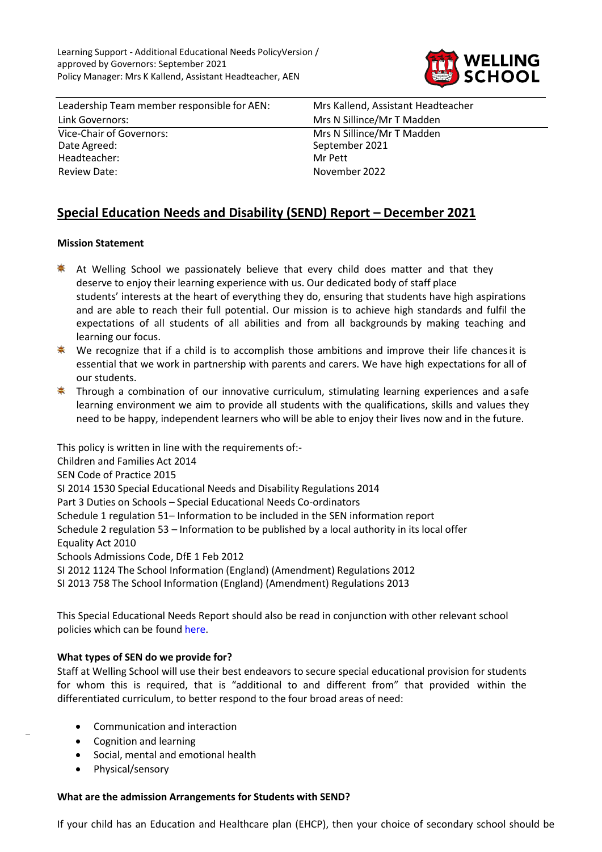

Leadership Team member responsible for AEN: Mrs Kallend, Assistant Headteacher Link Governors: Mrs N Sillince/Mr T Madden Vice-Chair of Governors: Mrs N Sillince/Mr T Madden<br>
Date Agreed: September 2021 Headteacher: Mr Pett Review Date: November 2022

September 2021

# **Special Education Needs and Disability (SEND) Report – December 2021**

# **Mission Statement**

- ♣ At Welling School we passionately believe that every child does matter and that they deserve to enjoy their learning experience with us. Our dedicated body of staff place students' interests at the heart of everything they do, ensuring that students have high aspirations and are able to reach their full potential. Our mission is to achieve high standards and fulfil the expectations of all students of all abilities and from all backgrounds by making teaching and learning our focus.
- **\*** We recognize that if a child is to accomplish those ambitions and improve their life chances it is essential that we work in partnership with parents and carers. We have high expectations for all of our students.
- **\*** Through a combination of our innovative curriculum, stimulating learning experiences and a safe learning environment we aim to provide all students with the qualifications, skills and values they need to be happy, independent learners who will be able to enjoy their lives now and in the future.

This policy is written in line with the requirements of:- Children and Families Act 2014 SEN Code of Practice 2015 SI 2014 1530 Special Educational Needs and Disability Regulations 2014 Part 3 Duties on Schools – Special Educational Needs Co-ordinators Schedule 1 regulation 51– Information to be included in the SEN information report Schedule 2 regulation 53 – Information to be published by a local authority in its local offer Equality Act 2010 Schools Admissions Code, DfE 1 Feb 2012 SI 2012 1124 The School Information (England) (Amendment) Regulations 2012 SI 2013 758 The School Information (England) (Amendment) Regulations 2013

This Special Educational Needs Report should also be read in conjunction with other relevant school policies which can be found [here.](https://www.wellingschool-tkat.org/page/?title=Policies&pid=1049)

# **What types of SEN do we provide for?**

Staff at Welling School will use their best endeavors to secure special educational provision for students for whom this is required, that is "additional to and different from" that provided within the differentiated curriculum, to better respond to the four broad areas of need:

- Communication and interaction
- Cognition and learning
- Social, mental and emotional health
- Physical/sensory

## **What are the admission Arrangements for Students with SEND?**

If your child has an Education and Healthcare plan (EHCP), then your choice of secondary school should be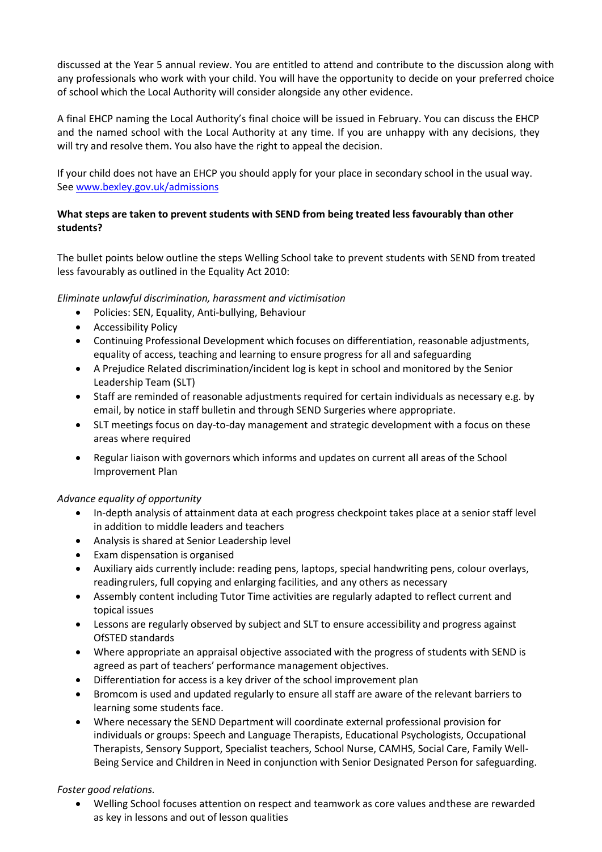discussed at the Year 5 annual review. You are entitled to attend and contribute to the discussion along with any professionals who work with your child. You will have the opportunity to decide on your preferred choice of school which the Local Authority will consider alongside any other evidence.

A final EHCP naming the Local Authority's final choice will be issued in February. You can discuss the EHCP and the named school with the Local Authority at any time. If you are unhappy with any decisions, they will try and resolve them. You also have the right to appeal the decision.

If your child does not have an EHCP you should apply for your place in secondary school in the usual way. See [www.bexley.gov.uk/admissions](http://www.bexley.gov.uk/admissions)

# **What steps are taken to prevent students with SEND from being treated less favourably than other students?**

The bullet points below outline the steps Welling School take to prevent students with SEND from treated less favourably as outlined in the Equality Act 2010:

# *Eliminate unlawful discrimination, harassment and victimisation*

- Policies: SEN, Equality, Anti-bullying, Behaviour
- Accessibility Policy
- Continuing Professional Development which focuses on differentiation, reasonable adjustments, equality of access, teaching and learning to ensure progress for all and safeguarding
- A Prejudice Related discrimination/incident log is kept in school and monitored by the Senior Leadership Team (SLT)
- Staff are reminded of reasonable adjustments required for certain individuals as necessary e.g. by email, by notice in staff bulletin and through SEND Surgeries where appropriate.
- SLT meetings focus on day‐to‐day management and strategic development with a focus on these areas where required
- Regular liaison with governors which informs and updates on current all areas of the School Improvement Plan

## *Advance equality of opportunity*

- In-depth analysis of attainment data at each progress checkpoint takes place at a senior staff level in addition to middle leaders and teachers
- Analysis is shared at Senior Leadership level
- Exam dispensation is organised
- Auxiliary aids currently include: reading pens, laptops, special handwriting pens, colour overlays, reading rulers, full copying and enlarging facilities, and any others as necessary
- Assembly content including Tutor Time activities are regularly adapted to reflect current and topical issues
- Lessons are regularly observed by subject and SLT to ensure accessibility and progress against OfSTED standards
- Where appropriate an appraisal objective associated with the progress of students with SEND is agreed as part of teachers' performance management objectives.
- Differentiation for access is a key driver of the school improvement plan
- Bromcom is used and updated regularly to ensure all staff are aware of the relevant barriers to learning some students face.
- Where necessary the SEND Department will coordinate external professional provision for individuals or groups: Speech and Language Therapists, Educational Psychologists, Occupational Therapists, Sensory Support, Specialist teachers, School Nurse, CAMHS, Social Care, Family Well-Being Service and Children in Need in conjunction with Senior Designated Person for safeguarding.

*Foster good relations.*

 Welling School focuses attention on respect and teamwork as core values and these are rewarded as key in lessons and out of lesson qualities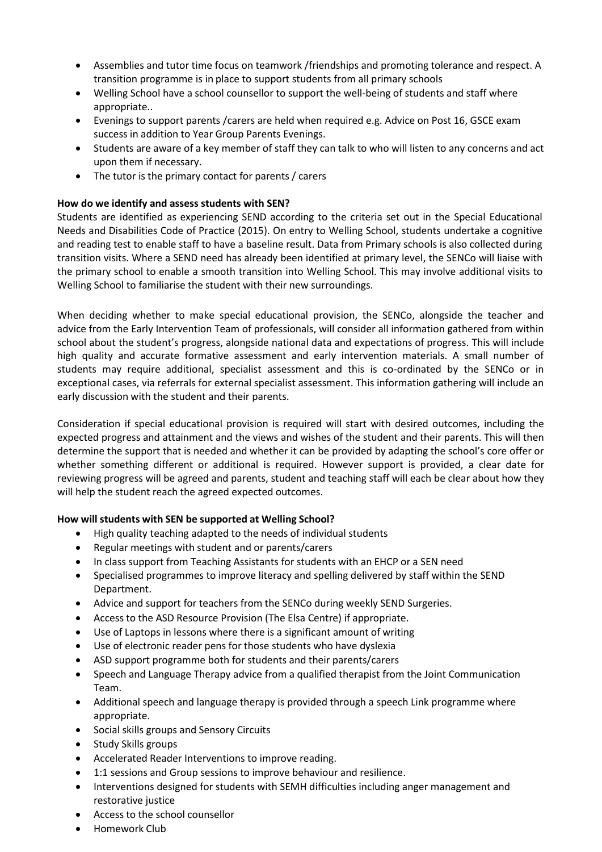- Assemblies and tutor time focus on teamwork /friendships and promoting tolerance and respect. A transition programme is in place to support students from all primary schools
- Welling School have a school counsellor to support the well-being of students and staff where appropriate..
- Evenings to support parents /carers are held when required e.g. Advice on Post 16, GSCE exam success in addition to Year Group Parents Evenings.
- Students are aware of a key member of staff they can talk to who will listen to any concerns and act upon them if necessary.
- The tutor is the primary contact for parents / carers

## **How do we identify and assess students with SEN?**

Students are identified as experiencing SEND according to the criteria set out in the Special Educational Needs and Disabilities Code of Practice (2015). On entry to Welling School, students undertake a cognitive and reading test to enable staff to have a baseline result. Data from Primary schools is also collected during transition visits. Where a SEND need has already been identified at primary level, the SENCo will liaise with the primary school to enable a smooth transition into Welling School. This may involve additional visits to Welling School to familiarise the student with their new surroundings.

When deciding whether to make special educational provision, the SENCo, alongside the teacher and advice from the Early Intervention Team of professionals, will consider all information gathered from within school about the student's progress, alongside national data and expectations of progress. This will include high quality and accurate formative assessment and early intervention materials. A small number of students may require additional, specialist assessment and this is co-ordinated by the SENCo or in exceptional cases, via referrals for external specialist assessment. This information gathering will include an early discussion with the student and their parents.

Consideration if special educational provision is required will start with desired outcomes, including the expected progress and attainment and the views and wishes of the student and their parents. This will then determine the support that is needed and whether it can be provided by adapting the school's core offer or whether something different or additional is required. However support is provided, a clear date for reviewing progress will be agreed and parents, student and teaching staff will each be clear about how they will help the student reach the agreed expected outcomes.

# **How will students with SEN be supported at Welling School?**

- High quality teaching adapted to the needs of individual students
- Regular meetings with student and or parents/carers
- In class support from Teaching Assistants for students with an EHCP or a SEN need
- Specialised programmes to improve literacy and spelling delivered by staff within the SEND Department.
- Advice and support for teachers from the SENCo during weekly SEND Surgeries.
- Access to the ASD Resource Provision (The Elsa Centre) if appropriate.
- Use of Laptops in lessons where there is a significant amount of writing
- Use of electronic reader pens for those students who have dyslexia
- ASD support programme both for students and their parents/carers
- Speech and Language Therapy advice from a qualified therapist from the Joint Communication Team.
- Additional speech and language therapy is provided through a speech Link programme where appropriate.
- **•** Social skills groups and Sensory Circuits
- Study Skills groups
- Accelerated Reader Interventions to improve reading.
- 1:1 sessions and Group sessions to improve behaviour and resilience.
- Interventions designed for students with SEMH difficulties including anger management and restorative justice
- Access to the school counsellor
- Homework Club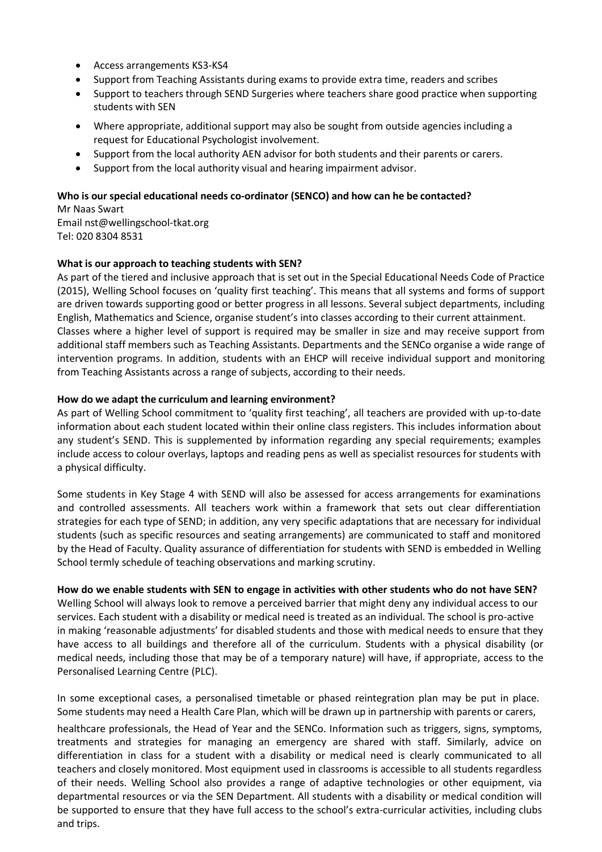- Access arrangements KS3-KS4
- Support from Teaching Assistants during exams to provide extra time, readers and scribes
- Support to teachers through SEND Surgeries where teachers share good practice when supporting students with SEN
- Where appropriate, additional support may also be sought from outside agencies including a request for Educational Psychologist involvement.
- Support from the local authority AEN advisor for both students and their parents or carers.
- Support from the local authority visual and hearing impairment advisor.

# **Who is our special educational needs co-ordinator (SENCO) and how can he be contacted?**

Mr Naas Swart Email nst@wellingschool-tkat.org Tel: 020 8304 8531

# **What is our approach to teaching students with SEN?**

As part of the tiered and inclusive approach that is set out in the Special Educational Needs Code of Practice (2015), Welling School focuses on 'quality first teaching'. This means that all systems and forms of support are driven towards supporting good or better progress in all lessons. Several subject departments, including English, Mathematics and Science, organise student's into classes according to their current attainment. Classes where a higher level of support is required may be smaller in size and may receive support from additional staff members such as Teaching Assistants. Departments and the SENCo organise a wide range of intervention programs. In addition, students with an EHCP will receive individual support and monitoring from Teaching Assistants across a range of subjects, according to their needs.

## **How do we adapt the curriculum and learning environment?**

As part of Welling School commitment to 'quality first teaching', all teachers are provided with up-to-date information about each student located within their online class registers. This includes information about any student's SEND. This is supplemented by information regarding any special requirements; examples include access to colour overlays, laptops and reading pens as well as specialist resources for students with a physical difficulty.

Some students in Key Stage 4 with SEND will also be assessed for access arrangements for examinations and controlled assessments. All teachers work within a framework that sets out clear differentiation strategies for each type of SEND; in addition, any very specific adaptations that are necessary for individual students (such as specific resources and seating arrangements) are communicated to staff and monitored by the Head of Faculty. Quality assurance of differentiation for students with SEND is embedded in Welling School termly schedule of teaching observations and marking scrutiny.

## **How do we enable students with SEN to engage in activities with other students who do not have SEN?**

Welling School will always look to remove a perceived barrier that might deny any individual access to our services. Each student with a disability or medical need is treated as an individual. The school is pro-active in making 'reasonable adjustments' for disabled students and those with medical needs to ensure that they have access to all buildings and therefore all of the curriculum. Students with a physical disability (or medical needs, including those that may be of a temporary nature) will have, if appropriate, access to the Personalised Learning Centre (PLC).

In some exceptional cases, a personalised timetable or phased reintegration plan may be put in place. Some students may need a Health Care Plan, which will be drawn up in partnership with parents or carers,

healthcare professionals, the Head of Year and the SENCo. Information such as triggers, signs, symptoms, treatments and strategies for managing an emergency are shared with staff. Similarly, advice on differentiation in class for a student with a disability or medical need is clearly communicated to all teachers and closely monitored. Most equipment used in classrooms is accessible to all students regardless of their needs. Welling School also provides a range of adaptive technologies or other equipment, via departmental resources or via the SEN Department. All students with a disability or medical condition will be supported to ensure that they have full access to the school's extra-curricular activities, including clubs and trips.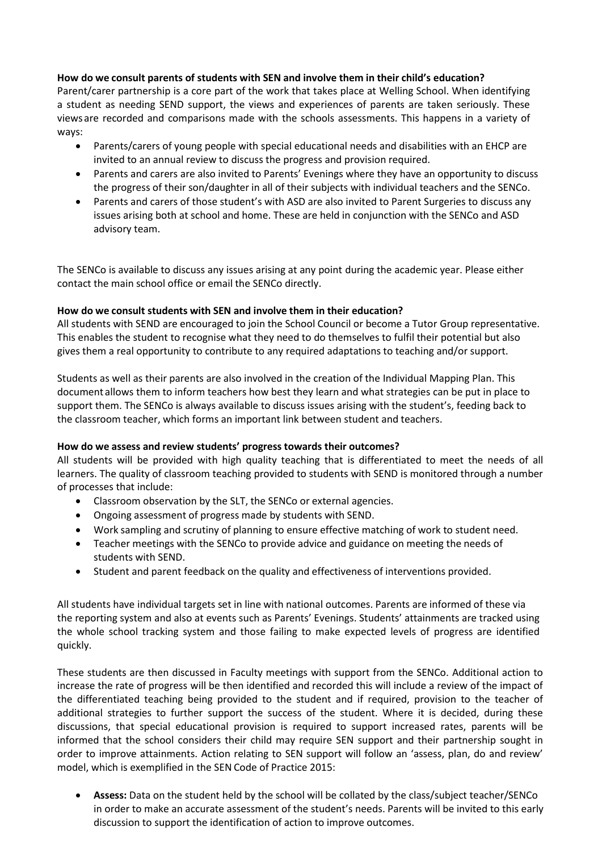## **How do we consult parents of students with SEN and involve them in their child's education?**

Parent/carer partnership is a core part of the work that takes place at Welling School. When identifying a student as needing SEND support, the views and experiences of parents are taken seriously. These views are recorded and comparisons made with the schools assessments. This happens in a variety of ways:

- Parents/carers of young people with special educational needs and disabilities with an EHCP are invited to an annual review to discuss the progress and provision required.
- Parents and carers are also invited to Parents' Evenings where they have an opportunity to discuss the progress of their son/daughter in all of their subjects with individual teachers and the SENCo.
- Parents and carers of those student's with ASD are also invited to Parent Surgeries to discuss any issues arising both at school and home. These are held in conjunction with the SENCo and ASD advisory team.

The SENCo is available to discuss any issues arising at any point during the academic year. Please either contact the main school office or email the SENCo directly.

## **How do we consult students with SEN and involve them in their education?**

All students with SEND are encouraged to join the School Council or become a Tutor Group representative. This enables the student to recognise what they need to do themselves to fulfil their potential but also gives them a real opportunity to contribute to any required adaptations to teaching and/or support.

Students as well as their parents are also involved in the creation of the Individual Mapping Plan. This document allows them to inform teachers how best they learn and what strategies can be put in place to support them. The SENCo is always available to discuss issues arising with the student's, feeding back to the classroom teacher, which forms an important link between student and teachers.

## **How do we assess and review students' progress towards their outcomes?**

All students will be provided with high quality teaching that is differentiated to meet the needs of all learners. The quality of classroom teaching provided to students with SEND is monitored through a number of processes that include:

- Classroom observation by the SLT, the SENCo or external agencies.
- Ongoing assessment of progress made by students with SEND.
- Work sampling and scrutiny of planning to ensure effective matching of work to student need.
- Teacher meetings with the SENCo to provide advice and guidance on meeting the needs of students with SEND.
- Student and parent feedback on the quality and effectiveness of interventions provided.

All students have individual targets set in line with national outcomes. Parents are informed of these via the reporting system and also at events such as Parents' Evenings. Students' attainments are tracked using the whole school tracking system and those failing to make expected levels of progress are identified quickly.

These students are then discussed in Faculty meetings with support from the SENCo. Additional action to increase the rate of progress will be then identified and recorded this will include a review of the impact of the differentiated teaching being provided to the student and if required, provision to the teacher of additional strategies to further support the success of the student. Where it is decided, during these discussions, that special educational provision is required to support increased rates, parents will be informed that the school considers their child may require SEN support and their partnership sought in order to improve attainments. Action relating to SEN support will follow an 'assess, plan, do and review' model, which is exemplified in the SEN Code of Practice 2015:

 **Assess:** Data on the student held by the school will be collated by the class/subject teacher/SENCo in order to make an accurate assessment of the student's needs. Parents will be invited to this early discussion to support the identification of action to improve outcomes.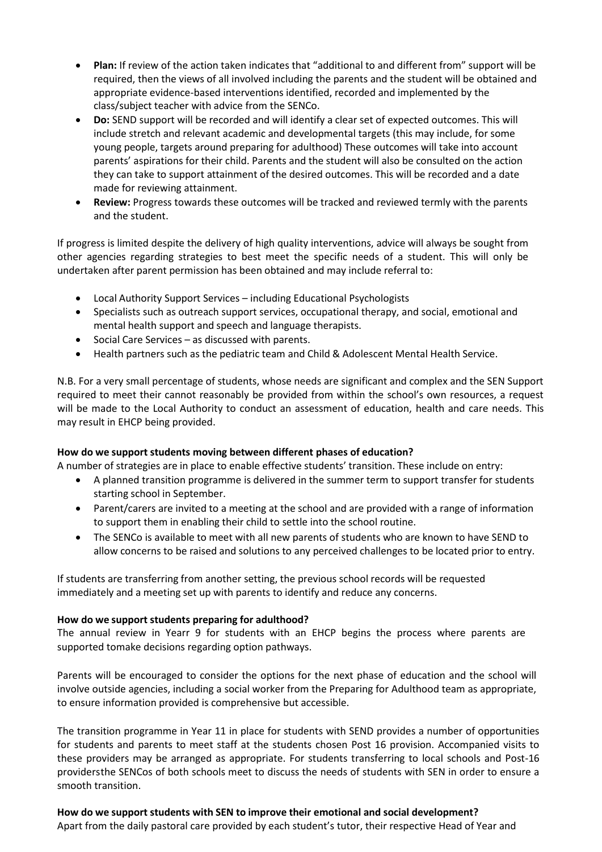- **Plan:** If review of the action taken indicates that "additional to and different from" support will be required, then the views of all involved including the parents and the student will be obtained and appropriate evidence-based interventions identified, recorded and implemented by the class/subject teacher with advice from the SENCo.
- **Do:** SEND support will be recorded and will identify a clear set of expected outcomes. This will include stretch and relevant academic and developmental targets (this may include, for some young people, targets around preparing for adulthood) These outcomes will take into account parents' aspirations for their child. Parents and the student will also be consulted on the action they can take to support attainment of the desired outcomes. This will be recorded and a date made for reviewing attainment.
- **Review:** Progress towards these outcomes will be tracked and reviewed termly with the parents and the student.

If progress is limited despite the delivery of high quality interventions, advice will always be sought from other agencies regarding strategies to best meet the specific needs of a student. This will only be undertaken after parent permission has been obtained and may include referral to:

- Local Authority Support Services including Educational Psychologists
- Specialists such as outreach support services, occupational therapy, and social, emotional and mental health support and speech and language therapists.
- Social Care Services as discussed with parents.
- Health partners such as the pediatric team and Child & Adolescent Mental Health Service.

N.B. For a very small percentage of students, whose needs are significant and complex and the SEN Support required to meet their cannot reasonably be provided from within the school's own resources, a request will be made to the Local Authority to conduct an assessment of education, health and care needs. This may result in EHCP being provided.

# **How do we support students moving between different phases of education?**

A number of strategies are in place to enable effective students' transition. These include on entry:

- A planned transition programme is delivered in the summer term to support transfer for students starting school in September.
- Parent/carers are invited to a meeting at the school and are provided with a range of information to support them in enabling their child to settle into the school routine.
- The SENCo is available to meet with all new parents of students who are known to have SEND to allow concerns to be raised and solutions to any perceived challenges to be located prior to entry.

If students are transferring from another setting, the previous school records will be requested immediately and a meeting set up with parents to identify and reduce any concerns.

## **How do we support students preparing for adulthood?**

The annual review in Yearr 9 for students with an EHCP begins the process where parents are supported tomake decisions regarding option pathways.

Parents will be encouraged to consider the options for the next phase of education and the school will involve outside agencies, including a social worker from the Preparing for Adulthood team as appropriate, to ensure information provided is comprehensive but accessible.

The transition programme in Year 11 in place for students with SEND provides a number of opportunities for students and parents to meet staff at the students chosen Post 16 provision. Accompanied visits to these providers may be arranged as appropriate. For students transferring to local schools and Post-16 providersthe SENCos of both schools meet to discuss the needs of students with SEN in order to ensure a smooth transition.

**How do we support students with SEN to improve their emotional and social development?** Apart from the daily pastoral care provided by each student's tutor, their respective Head of Year and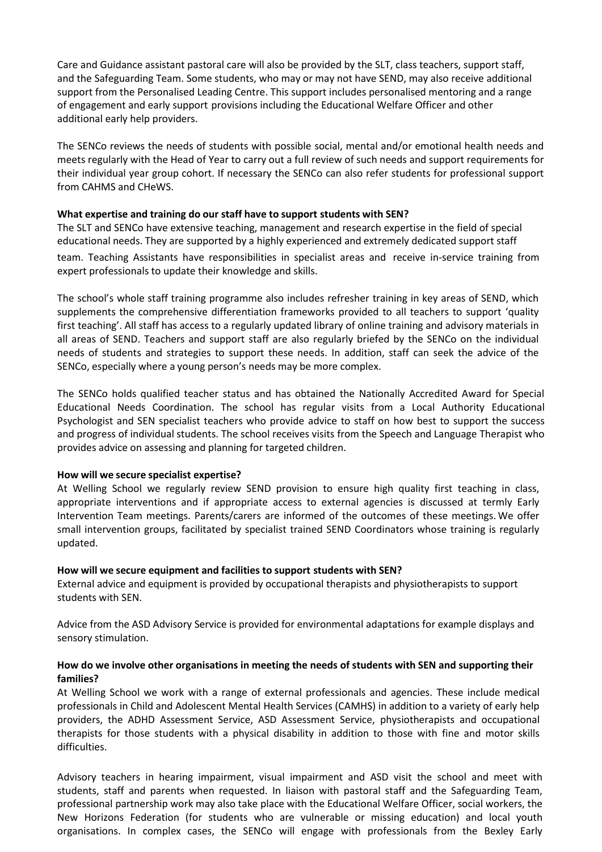Care and Guidance assistant pastoral care will also be provided by the SLT, class teachers, support staff, and the Safeguarding Team. Some students, who may or may not have SEND, may also receive additional support from the Personalised Leading Centre. This support includes personalised mentoring and a range of engagement and early support provisions including the Educational Welfare Officer and other additional early help providers.

The SENCo reviews the needs of students with possible social, mental and/or emotional health needs and meets regularly with the Head of Year to carry out a full review of such needs and support requirements for their individual year group cohort. If necessary the SENCo can also refer students for professional support from CAHMS and CHeWS.

## **What expertise and training do our staff have to support students with SEN?**

The SLT and SENCo have extensive teaching, management and research expertise in the field of special educational needs. They are supported by a highly experienced and extremely dedicated support staff team. Teaching Assistants have responsibilities in specialist areas and receive in-service training from expert professionals to update their knowledge and skills.

The school's whole staff training programme also includes refresher training in key areas of SEND, which supplements the comprehensive differentiation frameworks provided to all teachers to support 'quality first teaching'. All staff has access to a regularly updated library of online training and advisory materials in all areas of SEND. Teachers and support staff are also regularly briefed by the SENCo on the individual needs of students and strategies to support these needs. In addition, staff can seek the advice of the SENCo, especially where a young person's needs may be more complex.

The SENCo holds qualified teacher status and has obtained the Nationally Accredited Award for Special Educational Needs Coordination. The school has regular visits from a Local Authority Educational Psychologist and SEN specialist teachers who provide advice to staff on how best to support the success and progress of individual students. The school receives visits from the Speech and Language Therapist who provides advice on assessing and planning for targeted children.

## **How will we secure specialist expertise?**

At Welling School we regularly review SEND provision to ensure high quality first teaching in class, appropriate interventions and if appropriate access to external agencies is discussed at termly Early Intervention Team meetings. Parents/carers are informed of the outcomes of these meetings. We offer small intervention groups, facilitated by specialist trained SEND Coordinators whose training is regularly updated.

## **How will we secure equipment and facilities to support students with SEN?**

External advice and equipment is provided by occupational therapists and physiotherapists to support students with SEN.

Advice from the ASD Advisory Service is provided for environmental adaptations for example displays and sensory stimulation.

## **How do we involve other organisations in meeting the needs of students with SEN and supporting their families?**

At Welling School we work with a range of external professionals and agencies. These include medical professionals in Child and Adolescent Mental Health Services (CAMHS) in addition to a variety of early help providers, the ADHD Assessment Service, ASD Assessment Service, physiotherapists and occupational therapists for those students with a physical disability in addition to those with fine and motor skills difficulties.

Advisory teachers in hearing impairment, visual impairment and ASD visit the school and meet with students, staff and parents when requested. In liaison with pastoral staff and the Safeguarding Team, professional partnership work may also take place with the Educational Welfare Officer, social workers, the New Horizons Federation (for students who are vulnerable or missing education) and local youth organisations. In complex cases, the SENCo will engage with professionals from the Bexley Early